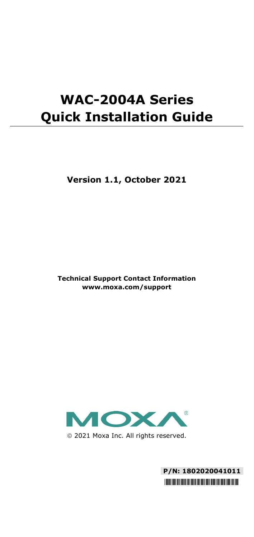# **WAC-2004A Series Quick Installation Guide**

**Version 1.1, October 2021**

**Technical Support Contact Information www.moxa.com/support**



2021 Moxa Inc. All rights reserved.

**P/N: 1802020041011** \*1802020041011\*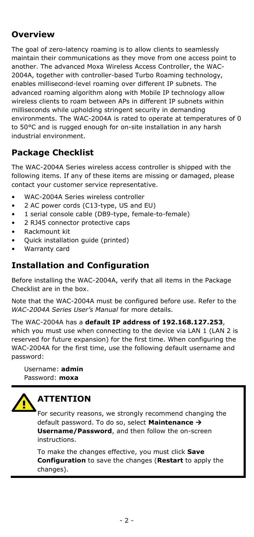# **Overview**

The goal of zero-latency roaming is to allow clients to seamlessly maintain their communications as they move from one access point to another. The advanced Moxa Wireless Access Controller, the WAC-2004A, together with controller-based Turbo Roaming technology, enables millisecond-level roaming over different IP subnets. The advanced roaming algorithm along with Mobile IP technology allow wireless clients to roam between APs in different IP subnets within milliseconds while upholding stringent security in demanding environments. The WAC-2004A is rated to operate at temperatures of 0 to 50°C and is rugged enough for on-site installation in any harsh industrial environment.

## **Package Checklist**

The WAC-2004A Series wireless access controller is shipped with the following items. If any of these items are missing or damaged, please contact your customer service representative.

- WAC-2004A Series wireless controller
- 2 AC power cords (C13-type, US and EU)
- 1 serial console cable (DB9-type, female-to-female)
- 2 RJ45 connector protective caps
- Rackmount kit
- Quick installation guide (printed)
- Warranty card

#### **Installation and Configuration**

Before installing the WAC-2004A, verify that all items in the Package Checklist are in the box.

Note that the WAC-2004A must be configured before use. Refer to the *WAC-2004A Series User's Manual* for more details.

The WAC-2004A has a **default IP address of 192.168.127.253**, which you must use when connecting to the device via LAN 1 (LAN 2 is reserved for future expansion) for the first time. When configuring the WAC-2004A for the first time, use the following default username and password:

Username: **admin** Password: **moxa**



For security reasons, we strongly recommend changing the default password. To do so, select **Maintenance Username/Password**, and then follow the on-screen instructions.

To make the changes effective, you must click **Save Configuration** to save the changes (**Restart** to apply the changes).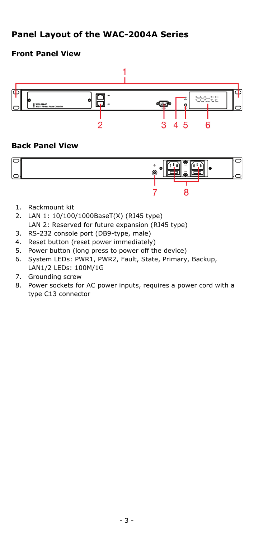#### **Panel Layout of the WAC-2004A Series**

#### **Front Panel View**



#### **Back Panel View**



- 1. Rackmount kit
- 2. LAN 1: 10/100/1000BaseT(X) (RJ45 type)
- LAN 2: Reserved for future expansion (RJ45 type)
- 3. RS-232 console port (DB9-type, male)
- 4. Reset button (reset power immediately)
- 5. Power button (long press to power off the device)
- 6. System LEDs: PWR1, PWR2, Fault, State, Primary, Backup, LAN1/2 LEDs: 100M/1G
- 7. Grounding screw
- 8. Power sockets for AC power inputs, requires a power cord with a type C13 connector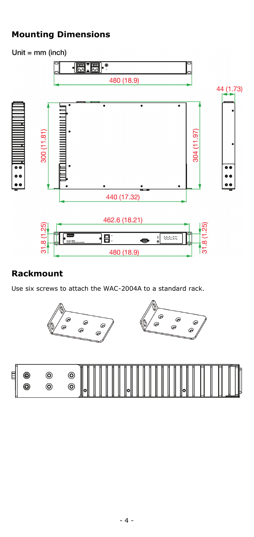# **Mounting Dimensions**



#### **Rackmount**

Use six screws to attach the WAC-2004A to a standard rack.



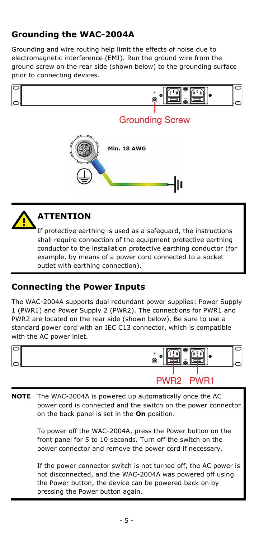# **Grounding the WAC-2004A**

Grounding and wire routing help limit the effects of noise due to electromagnetic interference (EMI). Run the ground wire from the ground screw on the rear side (shown below) to the grounding surface prior to connecting devices.





# **ATTENTION**

If protective earthing is used as a safeguard, the instructions shall require connection of the equipment protective earthing conductor to the installation protective earthing conductor (for example, by means of a power cord connected to a socket outlet with earthing connection).

#### **Connecting the Power Inputs**

The WAC-2004A supports dual redundant power supplies: Power Supply 1 (PWR1) and Power Supply 2 (PWR2). The connections for PWR1 and PWR2 are located on the rear side (shown below). Be sure to use a standard power cord with an IEC C13 connector, which is compatible with the AC power inlet.



**NOTE** The WAC-2004A is powered up automatically once the AC power cord is connected and the switch on the power connector on the back panel is set in the **On** position.

> To power off the WAC-2004A, press the Power button on the front panel for 5 to 10 seconds. Turn off the switch on the power connector and remove the power cord if necessary.

If the power connector switch is not turned off, the AC power is not disconnected, and the WAC-2004A was powered off using the Power button, the device can be powered back on by pressing the Power button again.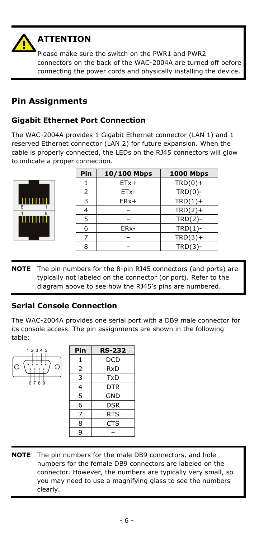

# **ATTENTION**

Please make sure the switch on the PWR1 and PWR2 connectors on the back of the WAC-2004A are turned off before connecting the power cords and physically installing the device.

#### **Pin Assignments**

#### **Gigabit Ethernet Port Connection**

The WAC-2004A provides 1 Gigabit Ethernet connector (LAN 1) and 1 reserved Ethernet connector (LAN 2) for future expansion. When the cable is properly connected, the LEDs on the RJ45 connectors will glow to indicate a proper connection.



| Pin | 10/100 Mbps | <b>1000 Mbps</b> |
|-----|-------------|------------------|
|     | $ETx+$      | $TRD(0) +$       |
| 2   | ETx-        | $TRD(0)$ -       |
| 3   | $ERx+$      | $TRD(1) +$       |
| 4   |             | $TRD(2) +$       |
| 5   |             | $TRD(2)-$        |
| 6   | ERx-        | $TRD(1)$ -       |
| 7   |             | $TRD(3) +$       |
| 8   |             | $TRD(3)-$        |
|     |             |                  |

**NOTE** The pin numbers for the 8-pin RJ45 connectors (and ports) are typically not labeled on the connector (or port). Refer to the diagram above to see how the RJ45's pins are numbered.

#### **Serial Console Connection**

The WAC-2004A provides one serial port with a DB9 male connector for its console access. The pin assignments are shown in the following table:

| 12345 |  |
|-------|--|
|       |  |
| 6789  |  |

| Pin | <b>RS-232</b> |
|-----|---------------|
| 1   | DCD           |
| 2   | RxD           |
| 3   | TxD           |
| 4   | DTR           |
| 5   | GND           |
| 6   | <b>DSR</b>    |
| 7   | <b>RTS</b>    |
| 8   | CTS           |
| ٩   |               |

**NOTE** The pin numbers for the male DB9 connectors, and hole numbers for the female DB9 connectors are labeled on the connector. However, the numbers are typically very small, so you may need to use a magnifying glass to see the numbers clearly.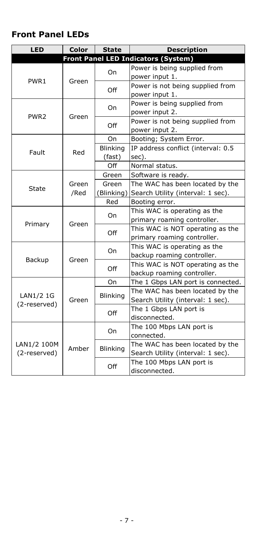# **Front Panel LEDs**

| LED                                        | <b>Color</b>  | <b>State</b>        | <b>Description</b>                 |  |  |
|--------------------------------------------|---------------|---------------------|------------------------------------|--|--|
| <b>Front Panel LED Indicators (System)</b> |               |                     |                                    |  |  |
| PWR <sub>1</sub>                           | Green         | On                  | Power is being supplied from       |  |  |
|                                            |               |                     | power input 1.                     |  |  |
|                                            |               | Off                 | Power is not being supplied from   |  |  |
|                                            |               |                     | power input 1.                     |  |  |
|                                            | Green         | On                  | Power is being supplied from       |  |  |
| PWR <sub>2</sub>                           |               |                     | power input 2.                     |  |  |
|                                            |               | Off                 | Power is not being supplied from   |  |  |
|                                            |               |                     | power input 2.                     |  |  |
|                                            | Red           | On                  | Booting; System Error.             |  |  |
| Fault                                      |               | <b>Blinking</b>     | IP address conflict (interval: 0.5 |  |  |
|                                            |               | (fast)              | sec).                              |  |  |
|                                            |               | $\bigcap_{i=1}^{n}$ | Normal status.                     |  |  |
|                                            |               | Green               | Software is ready.                 |  |  |
| State                                      | Green<br>/Red | Green               | The WAC has been located by the    |  |  |
|                                            |               | (Blinking)          | Search Utility (interval: 1 sec).  |  |  |
|                                            |               | Red                 | Booting error.                     |  |  |
|                                            |               | On                  | This WAC is operating as the       |  |  |
| Primary                                    | Green         |                     | primary roaming controller.        |  |  |
|                                            |               | Off                 | This WAC is NOT operating as the   |  |  |
|                                            |               |                     | primary roaming controller.        |  |  |
|                                            | Green         | On                  | This WAC is operating as the       |  |  |
| Backup                                     |               |                     | backup roaming controller.         |  |  |
|                                            |               | Off                 | This WAC is NOT operating as the   |  |  |
|                                            |               |                     | backup roaming controller.         |  |  |
|                                            | Green         | On                  | The 1 Gbps LAN port is connected.  |  |  |
| LAN1/2 1G<br>(2-reserved)                  |               | <b>Blinking</b>     | The WAC has been located by the    |  |  |
|                                            |               |                     | Search Utility (interval: 1 sec).  |  |  |
|                                            |               | Off                 | The 1 Gbps LAN port is             |  |  |
|                                            |               |                     | disconnected.                      |  |  |
|                                            | Amber         | On                  | The 100 Mbps LAN port is           |  |  |
|                                            |               |                     | connected.                         |  |  |
| LAN1/2 100M                                |               | <b>Blinking</b>     | The WAC has been located by the    |  |  |
| (2-reserved)                               |               |                     | Search Utility (interval: 1 sec).  |  |  |
|                                            |               | Off                 | The 100 Mbps LAN port is           |  |  |
|                                            |               |                     | disconnected.                      |  |  |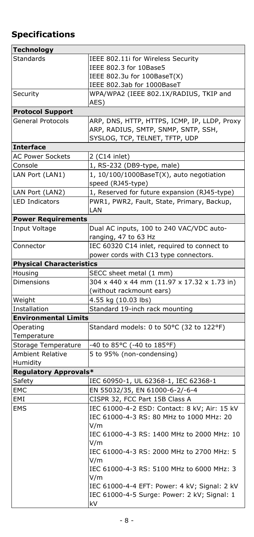# **Specifications**

| <b>Technology</b>               |                                              |  |
|---------------------------------|----------------------------------------------|--|
| <b>Standards</b>                | IEEE 802.11i for Wireless Security           |  |
|                                 | IEEE 802.3 for 10Base5                       |  |
|                                 | IEEE 802.3u for 100BaseT(X)                  |  |
|                                 | IEEE 802.3ab for 1000BaseT                   |  |
| Security                        | WPA/WPA2 (IEEE 802.1X/RADIUS, TKIP and       |  |
|                                 | AES)                                         |  |
| <b>Protocol Support</b>         |                                              |  |
| <b>General Protocols</b>        | ARP, DNS, HTTP, HTTPS, ICMP, IP, LLDP, Proxy |  |
|                                 | ARP, RADIUS, SMTP, SNMP, SNTP, SSH,          |  |
|                                 | SYSLOG, TCP, TE <mark>LNET, TFTP, UDP</mark> |  |
| <b>Interface</b>                |                                              |  |
| AC Power Sockets                | 2 (C14 inlet)                                |  |
| Console                         | 1, RS-232 (DB9-type, male)                   |  |
| LAN Port (LAN1)                 | 1, 10/100/1000BaseT(X), auto negotiation     |  |
|                                 | speed (RJ45-type)                            |  |
| LAN Port (LAN2)                 | 1, Reserved for future expansion (RJ45-type) |  |
| <b>LED Indicators</b>           | PWR1, PWR2, Fault, State, Primary, Backup,   |  |
|                                 | LAN                                          |  |
| <b>Power Requirements</b>       |                                              |  |
| Input Voltage                   | Dual AC inputs, 100 to 240 VAC/VDC auto-     |  |
|                                 | ranging, 47 to 63 Hz                         |  |
| Connector                       | IEC 60320 C14 inlet, required to connect to  |  |
|                                 | power cords with C13 type connectors.        |  |
| <b>Physical Characteristics</b> |                                              |  |
| Housing                         | SECC sheet metal (1 mm)                      |  |
| Dimensions                      | 304 x 440 x 44 mm (11.97 x 17.32 x 1.73 in)  |  |
|                                 | (without rackmount ears)                     |  |
| Weight                          | 4.55 kg (10.03 lbs)                          |  |
| Installation                    | Standard 19-inch rack mounting               |  |
| <b>Environmental Limits</b>     |                                              |  |
| Operating                       | Standard models: 0 to 50°C (32 to 122°F)     |  |
| Temperature                     |                                              |  |
| Storage Temperature             | -40 to 85°C (-40 to 185°F)                   |  |
| Ambient Relative                | 5 to 95% (non-condensing)                    |  |
| Humidity                        |                                              |  |
| Regulatory Approvals*           |                                              |  |
| Safety                          | IEC 60950-1, UL 62368-1, IEC 62368-1         |  |
| <b>EMC</b>                      | EN 55032/35, EN 61000-6-2/-6-4               |  |
| EMI                             | CISPR 32, FCC Part 15B Class A               |  |
| EMS                             | IEC 61000-4-2 ESD: Contact: 8 kV; Air: 15 kV |  |
|                                 | IEC 61000-4-3 RS: 80 MHz to 1000 MHz: 20     |  |
|                                 | V/m                                          |  |
|                                 | IEC 61000-4-3 RS: 1400 MHz to 2000 MHz: 10   |  |
|                                 | V/m                                          |  |
|                                 | IEC 61000-4-3 RS: 2000 MHz to 2700 MHz: 5    |  |
|                                 | V/m                                          |  |
|                                 | IEC 61000-4-3 RS: 5100 MHz to 6000 MHz: 3    |  |
|                                 | V/m                                          |  |
|                                 | IEC 61000-4-4 EFT: Power: 4 kV; Signal: 2 kV |  |
|                                 | IEC 61000-4-5 Surge: Power: 2 kV; Signal: 1  |  |
|                                 | kV                                           |  |